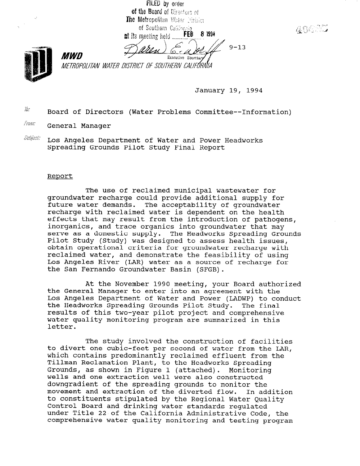FILED by order of the Board of Directors of The Metropolitan Water Nation of Southern California FEB 8 1994 at its meeting held.  $9 - 13$ 6. r 4 **MWD** Executive Secretary METROPOLITAN WATER DISTRICT OF SOUTHERN CALIFÓRNIA

40635

January 19, 1994

 $i\theta$ : Board of Directors (Water Problems Committee--Information)

*Fram:* General Manager

 $\mathit{Subisci}$  Los Angeles Department of Water and Power Headworks Spreading Grounds Pilot Study Final Report

## Report

The use of reclaimed municipal wastewater for groundwater recharge could provide additional supply for future water demands. The acceptability of groundwater recharge with reclaimed water is dependent on the health effects that may result from the introduction of pathogens, inorganics, and trace organics into groundwater that may serve as a domestic supply. The Headworks Spreading Grounds Pilot Study (Study) was designed to assess health issues, obtain operational criteria for groundwater recharge with reclaimed water, and demonstrate the feasibility of using Los Angeles River (LAR) water as a source of recharge for the San Fernando Groundwater Basin (SFGB).

At the November 1990 meeting, your Board authorized the General Manager to enter into an agreement with the Los Angeles Department of Water and Power (LADWP) to conduct the Headworks Spreading Grounds Pilot Study. The final results of this two-year pilot project and comprehensive water quality monitoring program are summarized in this letter.

The study involved the construction of facilities the study involved the construction of facilities<br>to divert are subjected per second of water from the LAR, which contains predominantly recond of water from the LP which contains predominantly reclaimed effluent from the Tillman Reclamation Plant, to the Headworks Spreading<br>Grounds, as shown in Figure 1 (attached). Monitoring Grounds, as shown in Figure 1 (attached). wells and one extraction well were also constructed downgradient of the spreading grounds to monitor the movement and extraction of the diverted flow. In addition movement and extraction of the diverted flow. to constituents stipulated by the Regional Water Ouality Control Board and drinking water standards requlated under Title 22 of the California Administrative Code, the comprehensive water quality monitoring and testing program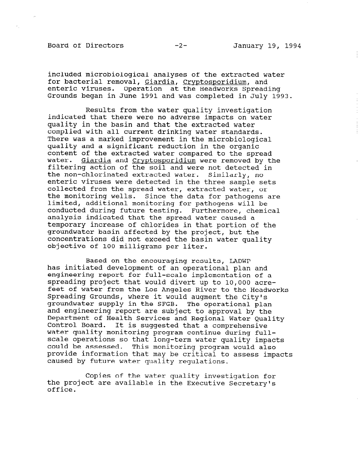## Board of Directors -2- January 19, 1994

included microbiological analyses of the extracted water for bacterial removal, Giardia, Cryptosporidium, and enteric viruses. Operation at the Headworks Spreading Grounds began in June 1991 and was completed in July 1993.

Results from the water quality investigation indicated that there were no adverse impacts on water quality in the basin and that the extracted water complied with all current drinking water standards. There was a marked improvement in the microbiological quality and a significant reduction in the organic content of the extracted water compared to the spread water. Giardia and Crvptosporidium were removed by the filtering action of the soil and were not detected in the non-chlorinated extracted water. Similarly, no enteric viruses were detected in the three sample sets collected from the spread water, extracted water, or the monitoring wells. Since the data for pathogens are limited, additional monitoring for pathogens will be conducted during future testing. Furthermore, chemical analysis indicated that the spread water caused a temporary increase of chlorides in that portion of the groundwater basin affected by the project, but the concentrations did not exceed the basin water quality objective of 100 milligrams per liter.

Based on the encouraging results, LADWP has initiated development of an operational plan and engineering report for full-scale implementation of a spreading project that would divert up to 10,000 acrefeet of water from the Los Angeles River to the Headworks Spreading Grounds, where it would augment the City's groundwater supply in the SFGB. The operational plan and engineering report are subject to approval by the Department of Health Services and Regional Water Ouality Control Board. It is suggested that a comprehensive voncror board. It is suggested that a comprenensive water quarity monitoring program continue during fullscale operations so that long-term water quality impacts<br>could be assessed. This monitoring program would also provide information that may be critical to assess impacts caused by future water quality regulations.

Copies of the water quality investigation for topies of the water quality investigation<br>the project are available in the Executive Secret the project are available in the Executive Secretary's office.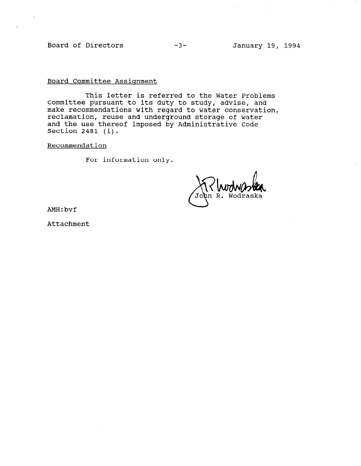Board of Directors -3- January 19, 1994

Board Committee Assignment

This letter is referred to the Water Problems Committee pursuant to its duty to study, advise, and make recommendations with regard to water conservation, mano recommensation. Here even is a matter constrained and the use thereof imposed by Administrative Code Section 2481 (i).

Recommendation

For information only.

AMH:bvf

Attachment